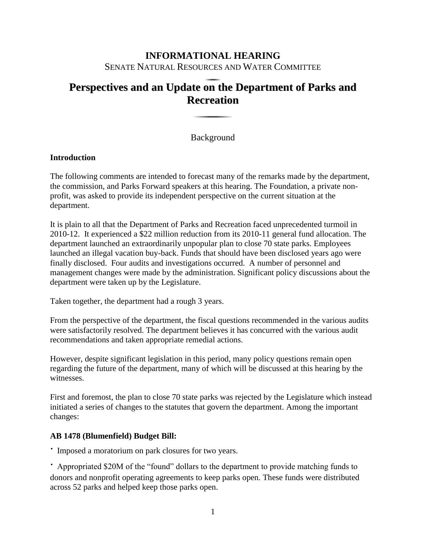# **INFORMATIONAL HEARING** SENATE NATURAL RESOURCES AND WATER COMMITTEE

# **Perspectives and an Update on the Department of Parks and Recreation**

Background

## **Introduction**

The following comments are intended to forecast many of the remarks made by the department, the commission, and Parks Forward speakers at this hearing. The Foundation, a private nonprofit, was asked to provide its independent perspective on the current situation at the department.

It is plain to all that the Department of Parks and Recreation faced unprecedented turmoil in 2010-12. It experienced a \$22 million reduction from its 2010-11 general fund allocation. The department launched an extraordinarily unpopular plan to close 70 state parks. Employees launched an illegal vacation buy-back. Funds that should have been disclosed years ago were finally disclosed. Four audits and investigations occurred. A number of personnel and management changes were made by the administration. Significant policy discussions about the department were taken up by the Legislature.

Taken together, the department had a rough 3 years.

From the perspective of the department, the fiscal questions recommended in the various audits were satisfactorily resolved. The department believes it has concurred with the various audit recommendations and taken appropriate remedial actions.

However, despite significant legislation in this period, many policy questions remain open regarding the future of the department, many of which will be discussed at this hearing by the witnesses.

First and foremost, the plan to close 70 state parks was rejected by the Legislature which instead initiated a series of changes to the statutes that govern the department. Among the important changes:

## **AB 1478 (Blumenfield) Budget Bill:**

∙ Imposed a moratorium on park closures for two years.

∙ Appropriated \$20M of the "found" dollars to the department to provide matching funds to donors and nonprofit operating agreements to keep parks open. These funds were distributed across 52 parks and helped keep those parks open.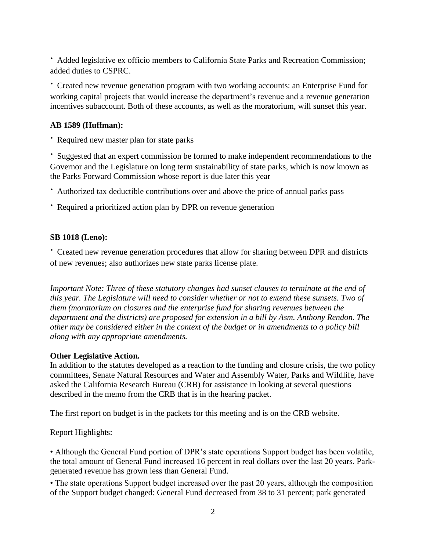∙ Added legislative ex officio members to California State Parks and Recreation Commission; added duties to CSPRC.

∙ Created new revenue generation program with two working accounts: an Enterprise Fund for working capital projects that would increase the department's revenue and a revenue generation incentives subaccount. Both of these accounts, as well as the moratorium, will sunset this year.

#### **AB 1589 (Huffman):**

∙ Required new master plan for state parks

∙ Suggested that an expert commission be formed to make independent recommendations to the Governor and the Legislature on long term sustainability of state parks, which is now known as the Parks Forward Commission whose report is due later this year

∙ Authorized tax deductible contributions over and above the price of annual parks pass

∙ Required a prioritized action plan by DPR on revenue generation

#### **SB 1018 (Leno):**

∙ Created new revenue generation procedures that allow for sharing between DPR and districts of new revenues; also authorizes new state parks license plate.

*Important Note: Three of these statutory changes had sunset clauses to terminate at the end of this year. The Legislature will need to consider whether or not to extend these sunsets. Two of them (moratorium on closures and the enterprise fund for sharing revenues between the department and the districts) are proposed for extension in a bill by Asm. Anthony Rendon. The other may be considered either in the context of the budget or in amendments to a policy bill along with any appropriate amendments.* 

#### **Other Legislative Action.**

In addition to the statutes developed as a reaction to the funding and closure crisis, the two policy committees, Senate Natural Resources and Water and Assembly Water, Parks and Wildlife, have asked the California Research Bureau (CRB) for assistance in looking at several questions described in the memo from the CRB that is in the hearing packet.

The first report on budget is in the packets for this meeting and is on the CRB website.

Report Highlights:

• Although the General Fund portion of DPR's state operations Support budget has been volatile, the total amount of General Fund increased 16 percent in real dollars over the last 20 years. Parkgenerated revenue has grown less than General Fund.

• The state operations Support budget increased over the past 20 years, although the composition of the Support budget changed: General Fund decreased from 38 to 31 percent; park generated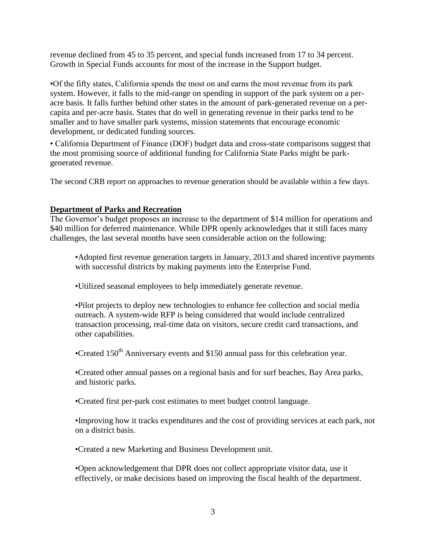revenue declined from 45 to 35 percent, and special funds increased from 17 to 34 percent. Growth in Special Funds accounts for most of the increase in the Support budget.

•Of the fifty states, California spends the most on and earns the most revenue from its park system. However, it falls to the mid-range on spending in support of the park system on a peracre basis. It falls further behind other states in the amount of park-generated revenue on a percapita and per-acre basis. States that do well in generating revenue in their parks tend to be smaller and to have smaller park systems, mission statements that encourage economic development, or dedicated funding sources.

• California Department of Finance (DOF) budget data and cross-state comparisons suggest that the most promising source of additional funding for California State Parks might be parkgenerated revenue.

The second CRB report on approaches to revenue generation should be available within a few days.

## **Department of Parks and Recreation**

The Governor's budget proposes an increase to the department of \$14 million for operations and \$40 million for deferred maintenance. While DPR openly acknowledges that it still faces many challenges, the last several months have seen considerable action on the following:

•Adopted first revenue generation targets in January, 2013 and shared incentive payments with successful districts by making payments into the Enterprise Fund.

•Utilized seasonal employees to help immediately generate revenue.

•Pilot projects to deploy new technologies to enhance fee collection and social media outreach. A system-wide RFP is being considered that would include centralized transaction processing, real-time data on visitors, secure credit card transactions, and other capabilities.

•Created  $150<sup>th</sup>$  Anniversary events and \$150 annual pass for this celebration year.

•Created other annual passes on a regional basis and for surf beaches, Bay Area parks, and historic parks.

•Created first per-park cost estimates to meet budget control language.

•Improving how it tracks expenditures and the cost of providing services at each park, not on a district basis.

•Created a new Marketing and Business Development unit.

•Open acknowledgement that DPR does not collect appropriate visitor data, use it effectively, or make decisions based on improving the fiscal health of the department.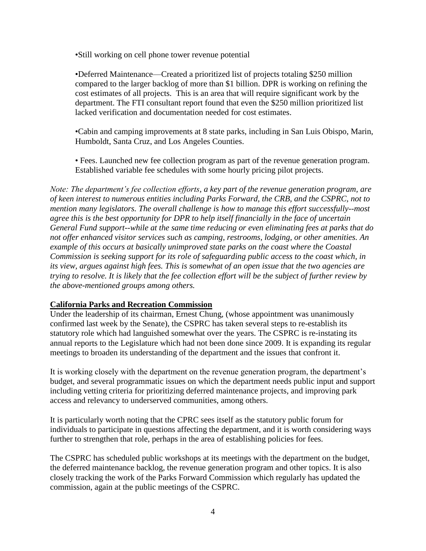•Still working on cell phone tower revenue potential

•Deferred Maintenance—Created a prioritized list of projects totaling \$250 million compared to the larger backlog of more than \$1 billion. DPR is working on refining the cost estimates of all projects. This is an area that will require significant work by the department. The FTI consultant report found that even the \$250 million prioritized list lacked verification and documentation needed for cost estimates.

•Cabin and camping improvements at 8 state parks, including in San Luis Obispo, Marin, Humboldt, Santa Cruz, and Los Angeles Counties.

• Fees. Launched new fee collection program as part of the revenue generation program. Established variable fee schedules with some hourly pricing pilot projects.

*Note: The department's fee collection efforts, a key part of the revenue generation program, are of keen interest to numerous entities including Parks Forward, the CRB, and the CSPRC, not to mention many legislators. The overall challenge is how to manage this effort successfully--most agree this is the best opportunity for DPR to help itself financially in the face of uncertain General Fund support--while at the same time reducing or even eliminating fees at parks that do not offer enhanced visitor services such as camping, restrooms, lodging, or other amenities. An example of this occurs at basically unimproved state parks on the coast where the Coastal Commission is seeking support for its role of safeguarding public access to the coast which, in its view, argues against high fees. This is somewhat of an open issue that the two agencies are trying to resolve. It is likely that the fee collection effort will be the subject of further review by the above-mentioned groups among others.* 

#### **California Parks and Recreation Commission**

Under the leadership of its chairman, Ernest Chung, (whose appointment was unanimously confirmed last week by the Senate), the CSPRC has taken several steps to re-establish its statutory role which had languished somewhat over the years. The CSPRC is re-instating its annual reports to the Legislature which had not been done since 2009. It is expanding its regular meetings to broaden its understanding of the department and the issues that confront it.

It is working closely with the department on the revenue generation program, the department's budget, and several programmatic issues on which the department needs public input and support including vetting criteria for prioritizing deferred maintenance projects, and improving park access and relevancy to underserved communities, among others.

It is particularly worth noting that the CPRC sees itself as the statutory public forum for individuals to participate in questions affecting the department, and it is worth considering ways further to strengthen that role, perhaps in the area of establishing policies for fees.

The CSPRC has scheduled public workshops at its meetings with the department on the budget, the deferred maintenance backlog, the revenue generation program and other topics. It is also closely tracking the work of the Parks Forward Commission which regularly has updated the commission, again at the public meetings of the CSPRC.